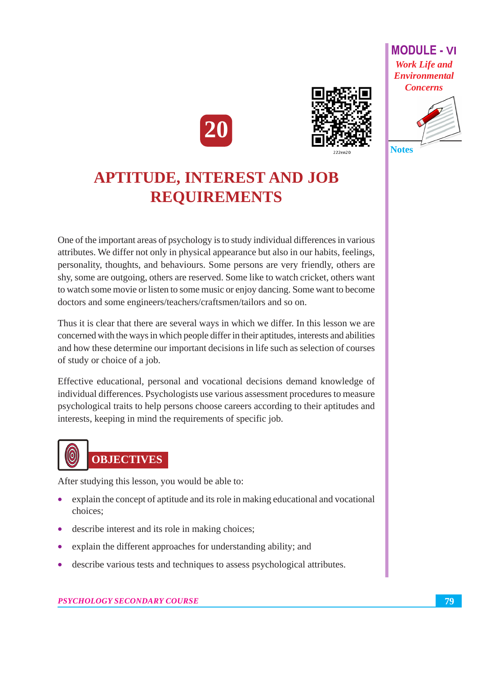



## **APTITUDE, INTEREST AND JOB REQUIREMENTS**

One of the important areas of psychology is to study individual differences in various attributes. We differ not only in physical appearance but also in our habits, feelings, personality, thoughts, and behaviours. Some persons are very friendly, others are shy, some are outgoing, others are reserved. Some like to watch cricket, others want to watch some movie or listen to some music or enjoy dancing. Some want to become doctors and some engineers/teachers/craftsmen/tailors and so on.

Thus it is clear that there are several ways in which we differ. In this lesson we are concerned with the ways in which people differ in their aptitudes, interests and abilities and how these determine our important decisions in life such as selection of courses of study or choice of a job.

Effective educational, personal and vocational decisions demand knowledge of individual differences. Psychologists use various assessment procedures to measure psychological traits to help persons choose careers according to their aptitudes and interests, keeping in mind the requirements of specific job.



After studying this lesson, you would be able to:

- explain the concept of aptitude and its role in making educational and vocational choices;
- describe interest and its role in making choices;
- explain the different approaches for understanding ability; and
- describe various tests and techniques to assess psychological attributes.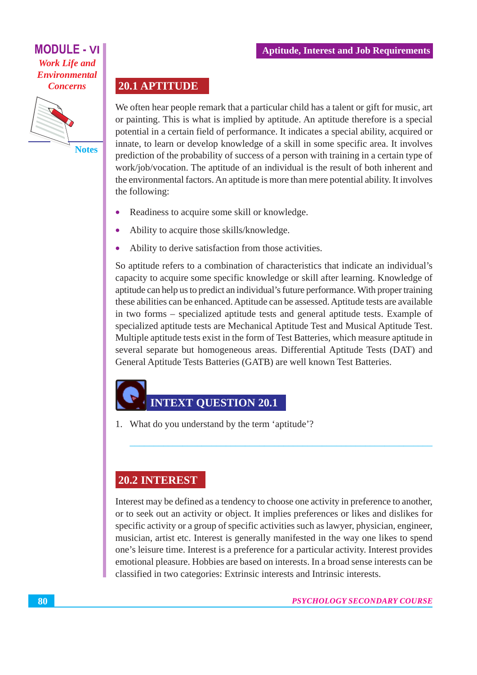

**Notes** 

20.1 APTITUDE

We often hear people remark that a particular child has a talent or gift for music, art or painting. This is what is implied by aptitude. An aptitude therefore is a special potential in a certain field of performance. It indicates a special ability, acquired or innate, to learn or develop knowledge of a skill in some specific area. It involves prediction of the probability of success of a person with training in a certain type of work/job/vocation. The aptitude of an individual is the result of both inherent and the environmental factors. An aptitude is more than mere potential ability. It involves the following:

- Readiness to acquire some skill or knowledge.  $\bullet$
- Ability to acquire those skills/knowledge.  $\bullet$
- Ability to derive satisfaction from those activities.  $\bullet$

So aptitude refers to a combination of characteristics that indicate an individual's capacity to acquire some specific knowledge or skill after learning. Knowledge of aptitude can help us to predict an individual's future performance. With proper training these abilities can be enhanced. Aptitude can be assessed. Aptitude tests are available in two forms – specialized aptitude tests and general aptitude tests. Example of specialized aptitude tests are Mechanical Aptitude Test and Musical Aptitude Test. Multiple aptitude tests exist in the form of Test Batteries, which measure aptitude in several separate but homogeneous areas. Differential Aptitude Tests (DAT) and General Aptitude Tests Batteries (GATB) are well known Test Batteries.

### **INTEXT OUESTION 20.1**

1. What do you understand by the term 'aptitude'?

#### **20.2 INTEREST**

Interest may be defined as a tendency to choose one activity in preference to another, or to seek out an activity or object. It implies preferences or likes and dislikes for specific activity or a group of specific activities such as lawyer, physician, engineer, musician, artist etc. Interest is generally manifested in the way one likes to spend one's leisure time. Interest is a preference for a particular activity. Interest provides emotional pleasure. Hobbies are based on interests. In a broad sense interests can be classified in two categories: Extrinsic interests and Intrinsic interests.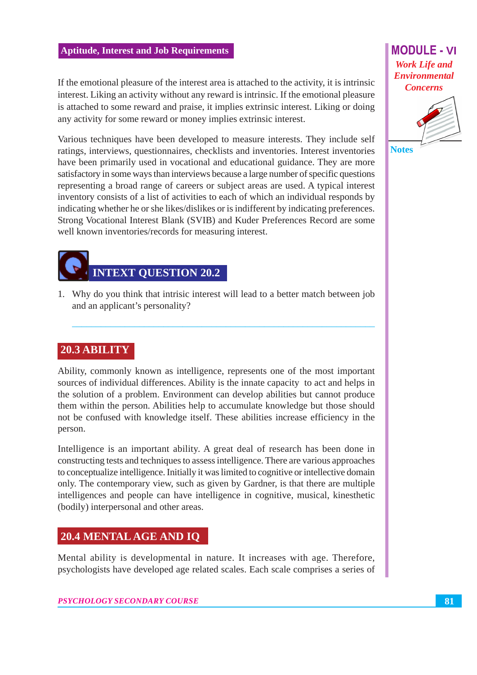#### **Aptitude, Interest and Job Requirements**

If the emotional pleasure of the interest area is attached to the activity, it is intrinsic interest. Liking an activity without any reward is intrinsic. If the emotional pleasure is attached to some reward and praise, it implies extrinsic interest. Liking or doing any activity for some reward or money implies extrinsic interest.

Various techniques have been developed to measure interests. They include self ratings, interviews, questionnaires, checklists and inventories. Interest inventories have been primarily used in vocational and educational guidance. They are more satisfactory in some ways than interviews because a large number of specific questions representing a broad range of careers or subject areas are used. A typical interest inventory consists of a list of activities to each of which an individual responds by indicating whether he or she likes/dislikes or is indifferent by indicating preferences. Strong Vocational Interest Blank (SVIB) and Kuder Preferences Record are some well known inventories/records for measuring interest.



1. Why do you think that intrisic interest will lead to a better match between job and an applicant's personality?

#### 20.3 ABILITY

Ability, commonly known as intelligence, represents one of the most important sources of individual differences. Ability is the innate capacity to act and helps in the solution of a problem. Environment can develop abilities but cannot produce them within the person. Abilities help to accumulate knowledge but those should not be confused with knowledge itself. These abilities increase efficiency in the person.

Intelligence is an important ability. A great deal of research has been done in constructing tests and techniques to assess intelligence. There are various approaches to conceptualize intelligence. Initially it was limited to cognitive or intellective domain only. The contemporary view, such as given by Gardner, is that there are multiple intelligences and people can have intelligence in cognitive, musical, kinesthetic (bodily) interpersonal and other areas.

#### **20.4 MENTAL AGE AND IQ**

Mental ability is developmental in nature. It increases with age. Therefore, psychologists have developed age related scales. Each scale comprises a series of

#### **MODULE - VI Work Life and Environmental Concerns**



81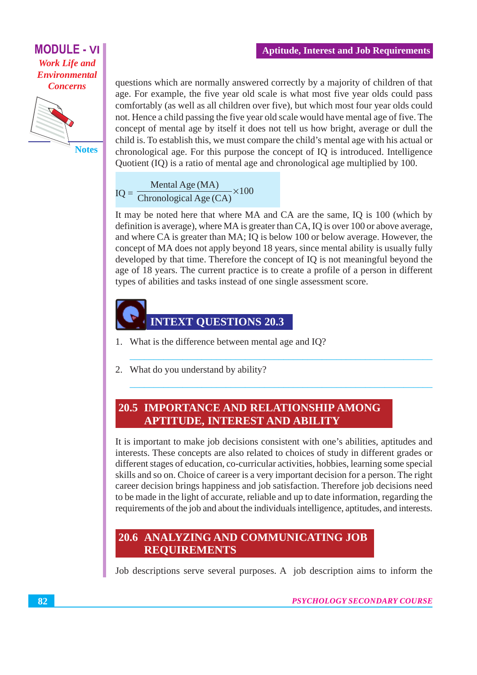

**Notes** 

questions which are normally answered correctly by a majority of children of that age. For example, the five year old scale is what most five year olds could pass comfortably (as well as all children over five), but which most four year olds could not. Hence a child passing the five year old scale would have mental age of five. The concept of mental age by itself it does not tell us how bright, average or dull the child is. To establish this, we must compare the child's mental age with his actual or chronological age. For this purpose the concept of IQ is introduced. Intelligence Ouotient (IO) is a ratio of mental age and chronological age multiplied by 100.

 $IQ = \frac{\text{Mental Age (MA)}}{\text{Chronological Age (CA)}} \times 100$ 

It may be noted here that where MA and CA are the same, IO is 100 (which by definition is average), where MA is greater than CA, IQ is over 100 or above average, and where CA is greater than MA; IQ is below 100 or below average. However, the concept of MA does not apply beyond 18 years, since mental ability is usually fully developed by that time. Therefore the concept of IQ is not meaningful beyond the age of 18 years. The current practice is to create a profile of a person in different types of abilities and tasks instead of one single assessment score.



- 1. What is the difference between mental age and IQ?
- 2. What do you understand by ability?

#### **20.5 IMPORTANCE AND RELATIONSHIP AMONG APTITUDE, INTEREST AND ABILITY**

It is important to make job decisions consistent with one's abilities, aptitudes and interests. These concepts are also related to choices of study in different grades or different stages of education, co-curricular activities, hobbies, learning some special skills and so on. Choice of career is a very important decision for a person. The right career decision brings happiness and job satisfaction. Therefore job decisions need to be made in the light of accurate, reliable and up to date information, regarding the requirements of the job and about the individuals intelligence, aptitudes, and interests.

#### 20.6 ANALYZING AND COMMUNICATING JOB **REOUIREMENTS**

Job descriptions serve several purposes. A job description aims to inform the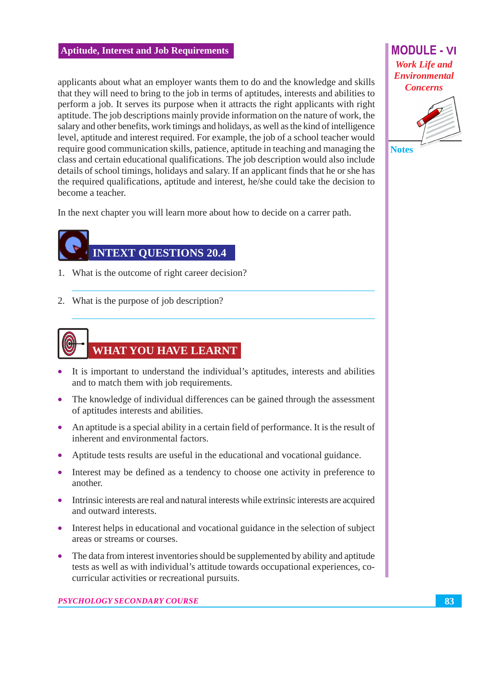#### **Aptitude, Interest and Job Requirements**

applicants about what an employer wants them to do and the knowledge and skills that they will need to bring to the job in terms of aptitudes, interests and abilities to perform a job. It serves its purpose when it attracts the right applicants with right aptitude. The job descriptions mainly provide information on the nature of work, the salary and other benefits, work timings and holidays, as well as the kind of intelligence level, aptitude and interest required. For example, the job of a school teacher would require good communication skills, patience, aptitude in teaching and managing the class and certain educational qualifications. The job description would also include details of school timings, holidays and salary. If an applicant finds that he or she has the required qualifications, aptitude and interest, he/she could take the decision to become a teacher.

In the next chapter you will learn more about how to decide on a carrer path.

## **INTEXT OUESTIONS 20.4**

- 1. What is the outcome of right career decision?
- 2. What is the purpose of job description?



- It is important to understand the individual's aptitudes, interests and abilities and to match them with job requirements.
- The knowledge of individual differences can be gained through the assessment of aptitudes interests and abilities.
- An aptitude is a special ability in a certain field of performance. It is the result of inherent and environmental factors.
- Aptitude tests results are useful in the educational and vocational guidance.
- Interest may be defined as a tendency to choose one activity in preference to another.
- Intrinsic interests are real and natural interests while extrinsic interests are acquired and outward interests.
- Interest helps in educational and vocational guidance in the selection of subject areas or streams or courses.
- The data from interest inventories should be supplemented by ability and aptitude tests as well as with individual's attitude towards occupational experiences, cocurricular activities or recreational pursuits.

**MODULE - VI Work Life and Environmental Concerns** 



83